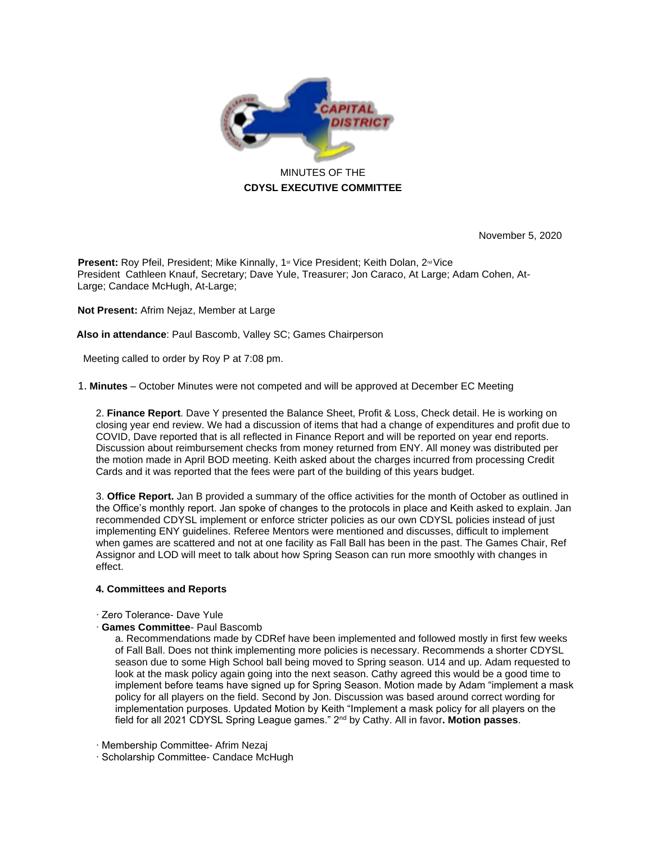

November 5, 2020

**Present:** Roy Pfeil, President; Mike Kinnally, 1<sup>st</sup> Vice President; Keith Dolan, 2<sup>nd</sup> Vice President Cathleen Knauf, Secretary; Dave Yule, Treasurer; Jon Caraco, At Large; Adam Cohen, At-Large; Candace McHugh, At-Large;

**Not Present:** Afrim Nejaz, Member at Large

**Also in attendance**: Paul Bascomb, Valley SC; Games Chairperson

Meeting called to order by Roy P at 7:08 pm.

1. **Minutes** – October Minutes were not competed and will be approved at December EC Meeting

2. **Finance Report**. Dave Y presented the Balance Sheet, Profit & Loss, Check detail. He is working on closing year end review. We had a discussion of items that had a change of expenditures and profit due to COVID, Dave reported that is all reflected in Finance Report and will be reported on year end reports. Discussion about reimbursement checks from money returned from ENY. All money was distributed per the motion made in April BOD meeting. Keith asked about the charges incurred from processing Credit Cards and it was reported that the fees were part of the building of this years budget.

3. **Office Report.** Jan B provided a summary of the office activities for the month of October as outlined in the Office's monthly report. Jan spoke of changes to the protocols in place and Keith asked to explain. Jan recommended CDYSL implement or enforce stricter policies as our own CDYSL policies instead of just implementing ENY guidelines. Referee Mentors were mentioned and discusses, difficult to implement when games are scattered and not at one facility as Fall Ball has been in the past. The Games Chair, Ref Assignor and LOD will meet to talk about how Spring Season can run more smoothly with changes in effect.

## **4. Committees and Reports**

- ∙ Zero Tolerance- Dave Yule
- ∙ **Games Committee** Paul Bascomb

a. Recommendations made by CDRef have been implemented and followed mostly in first few weeks of Fall Ball. Does not think implementing more policies is necessary. Recommends a shorter CDYSL season due to some High School ball being moved to Spring season. U14 and up. Adam requested to look at the mask policy again going into the next season. Cathy agreed this would be a good time to implement before teams have signed up for Spring Season. Motion made by Adam "implement a mask policy for all players on the field. Second by Jon. Discussion was based around correct wording for implementation purposes. Updated Motion by Keith "Implement a mask policy for all players on the field for all 2021 CDYSL Spring League games." 2nd by Cathy. All in favor**. Motion passes**.

- ∙ Membership Committee- Afrim Nezaj
- ∙ Scholarship Committee- Candace McHugh